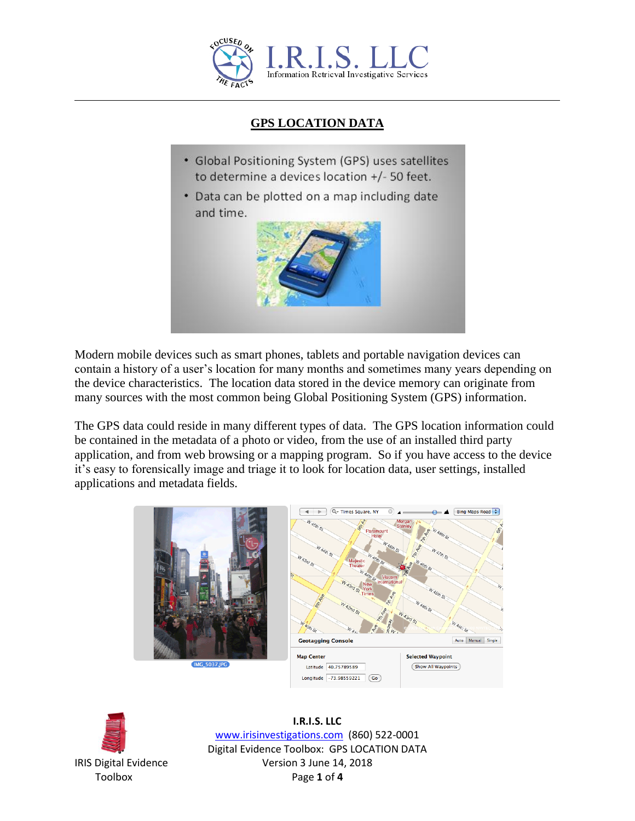

## **GPS LOCATION DATA**

- Global Positioning System (GPS) uses satellites to determine a devices location +/- 50 feet.
- Data can be plotted on a map including date and time.



Modern mobile devices such as smart phones, tablets and portable navigation devices can contain a history of a user's location for many months and sometimes many years depending on the device characteristics. The location data stored in the device memory can originate from many sources with the most common being Global Positioning System (GPS) information.

The GPS data could reside in many different types of data. The GPS location information could be contained in the metadata of a photo or video, from the use of an installed third party application, and from web browsing or a mapping program. So if you have access to the device it's easy to forensically image and triage it to look for location data, user settings, installed applications and metadata fields.





**I.R.I.S. LLC** www.irisinvestigations.com (860) 522-0001 Digital Evidence Toolbox: GPS LOCATION DATA IRIS Digital Evidence Version 3 June 14, 2018 Toolbox Page **1** of **4**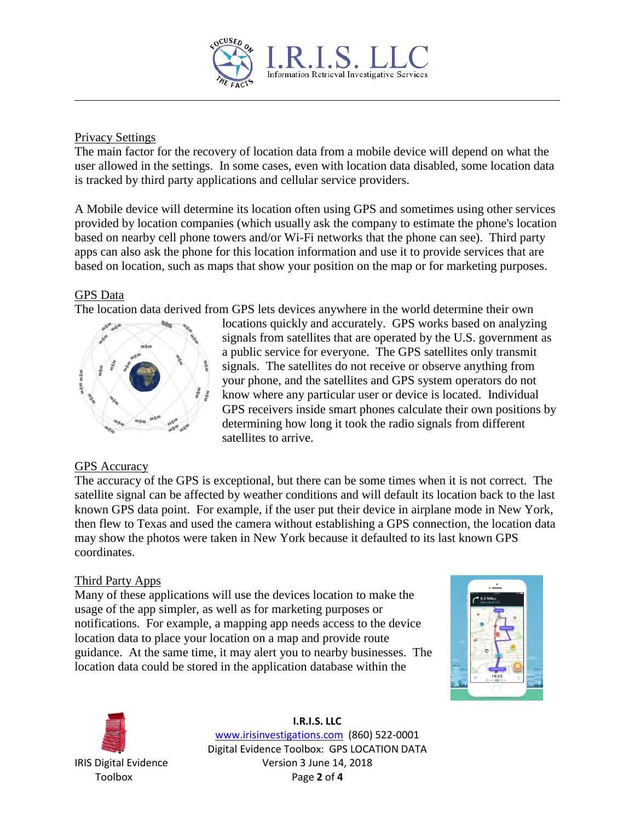

#### Privacy Settings

The main factor for the recovery of location data from a mobile device will depend on what the user allowed in the settings. In some cases, even with location data disabled, some location data is tracked by third party applications and cellular service providers.

A Mobile device will determine its location often using GPS and sometimes using other services provided by location companies (which usually ask the company to estimate the phone's location based on nearby cell phone towers and/or Wi-Fi networks that the phone can see). Third party apps can also ask the phone for this location information and use it to provide services that are based on location, such as maps that show your position on the map or for marketing purposes.

#### GPS Data

The location data derived from GPS lets devices anywhere in the world determine their own



locations quickly and accurately. GPS works based on analyzing signals from satellites that are operated by the U.S. government as a public service for everyone. The GPS satellites only transmit signals. The satellites do not receive or observe anything from your phone, and the satellites and GPS system operators do not know where any particular user or device is located. Individual GPS receivers inside smart phones calculate their own positions by determining how long it took the radio signals from different satellites to arrive.

### GPS Accuracy

The accuracy of the GPS is exceptional, but there can be some times when it is not correct. The satellite signal can be affected by weather conditions and will default its location back to the last known GPS data point. For example, if the user put their device in airplane mode in New York, then flew to Texas and used the camera without establishing a GPS connection, the location data may show the photos were taken in New York because it defaulted to its last known GPS coordinates.

### Third Party Apps

Many of these applications will use the devices location to make the usage of the app simpler, as well as for marketing purposes or notifications. For example, a mapping app needs access to the device location data to place your location on a map and provide route guidance. At the same time, it may alert you to nearby businesses. The location data could be stored in the application database within the





**I.R.I.S. LLC** www.irisinvestigations.com (860) 522-0001 Digital Evidence Toolbox: GPS LOCATION DATA IRIS Digital Evidence Version 3 June 14, 2018 Toolbox Page **2** of **4**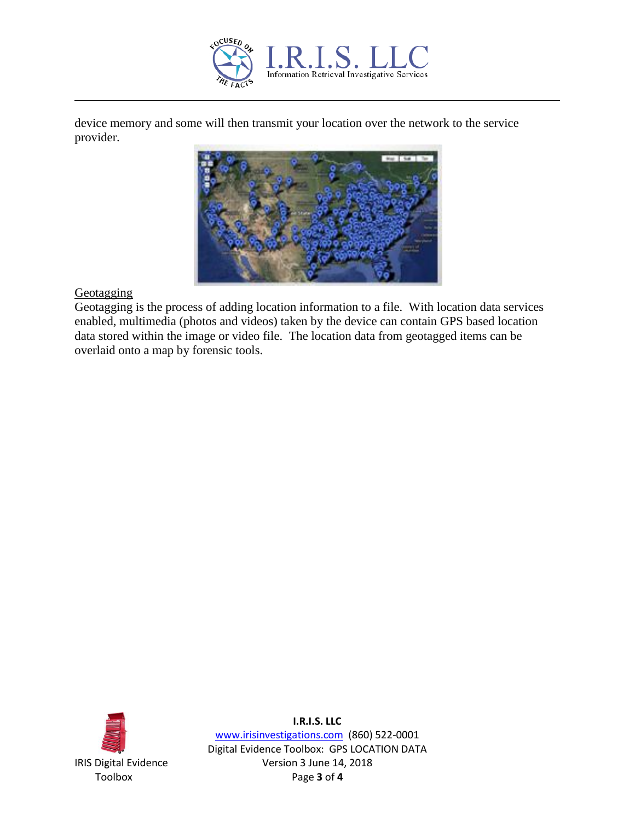

device memory and some will then transmit your location over the network to the service provider.



**Geotagging** 

Geotagging is the process of adding location information to a file. With location data services enabled, multimedia (photos and videos) taken by the device can contain GPS based location data stored within the image or video file. The location data from geotagged items can be overlaid onto a map by forensic tools.



**I.R.I.S. LLC**

www.irisinvestigations.com (860) 522-0001 Digital Evidence Toolbox: GPS LOCATION DATA IRIS Digital Evidence Version 3 June 14, 2018 Toolbox Page **3** of **4**